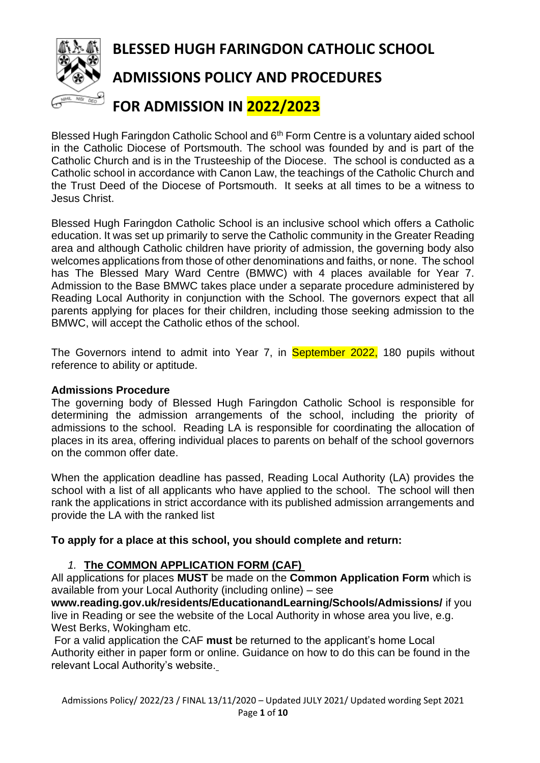

Blessed Hugh Faringdon Catholic School and 6<sup>th</sup> Form Centre is a voluntary aided school in the Catholic Diocese of Portsmouth. The school was founded by and is part of the Catholic Church and is in the Trusteeship of the Diocese. The school is conducted as a Catholic school in accordance with Canon Law, the teachings of the Catholic Church and the Trust Deed of the Diocese of Portsmouth. It seeks at all times to be a witness to Jesus Christ.

Blessed Hugh Faringdon Catholic School is an inclusive school which offers a Catholic education. It was set up primarily to serve the Catholic community in the Greater Reading area and although Catholic children have priority of admission, the governing body also welcomes applications from those of other denominations and faiths, or none. The school has The Blessed Mary Ward Centre (BMWC) with 4 places available for Year 7. Admission to the Base BMWC takes place under a separate procedure administered by Reading Local Authority in conjunction with the School. The governors expect that all parents applying for places for their children, including those seeking admission to the BMWC, will accept the Catholic ethos of the school.

The Governors intend to admit into Year 7, in September 2022, 180 pupils without reference to ability or aptitude.

#### **Admissions Procedure**

The governing body of Blessed Hugh Faringdon Catholic School is responsible for determining the admission arrangements of the school, including the priority of admissions to the school. Reading LA is responsible for coordinating the allocation of places in its area, offering individual places to parents on behalf of the school governors on the common offer date.

When the application deadline has passed, Reading Local Authority (LA) provides the school with a list of all applicants who have applied to the school. The school will then rank the applications in strict accordance with its published admission arrangements and provide the LA with the ranked list

#### **To apply for a place at this school, you should complete and return:**

# *1.* **The COMMON APPLICATION FORM (CAF)**

All applications for places **MUST** be made on the **Common Application Form** which is available from your Local Authority (including online) – see

**www.reading.gov.uk/residents/EducationandLearning/Schools/Admissions/** if you live in Reading or see the website of the Local Authority in whose area you live, e.g. West Berks, Wokingham etc.

For a valid application the CAF **must** be returned to the applicant's home Local Authority either in paper form or online. Guidance on how to do this can be found in the relevant Local Authority's website.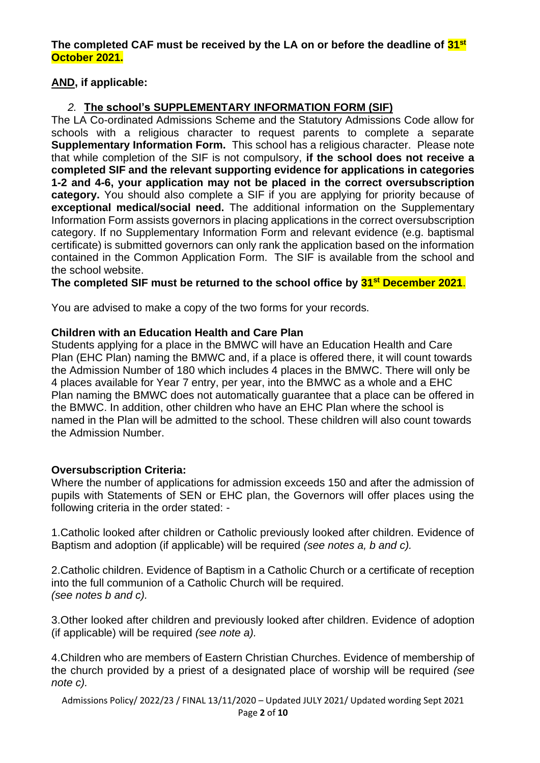#### **The completed CAF must be received by the LA on or before the deadline of 31st October 2021.**

# **AND, if applicable:**

# *2.* **The school's SUPPLEMENTARY INFORMATION FORM (SIF)**

The LA Co-ordinated Admissions Scheme and the Statutory Admissions Code allow for schools with a religious character to request parents to complete a separate **Supplementary Information Form.** This school has a religious character. Please note that while completion of the SIF is not compulsory, **if the school does not receive a completed SIF and the relevant supporting evidence for applications in categories 1-2 and 4-6, your application may not be placed in the correct oversubscription category.** You should also complete a SIF if you are applying for priority because of **exceptional medical/social need.** The additional information on the Supplementary Information Form assists governors in placing applications in the correct oversubscription category. If no Supplementary Information Form and relevant evidence (e.g. baptismal certificate) is submitted governors can only rank the application based on the information contained in the Common Application Form. The SIF is available from the school and the school website.

### **The completed SIF must be returned to the school office by 31st December 2021**.

You are advised to make a copy of the two forms for your records.

### **Children with an Education Health and Care Plan**

Students applying for a place in the BMWC will have an Education Health and Care Plan (EHC Plan) naming the BMWC and, if a place is offered there, it will count towards the Admission Number of 180 which includes 4 places in the BMWC. There will only be 4 places available for Year 7 entry, per year, into the BMWC as a whole and a EHC Plan naming the BMWC does not automatically guarantee that a place can be offered in the BMWC. In addition, other children who have an EHC Plan where the school is named in the Plan will be admitted to the school. These children will also count towards the Admission Number.

#### **Oversubscription Criteria:**

Where the number of applications for admission exceeds 150 and after the admission of pupils with Statements of SEN or EHC plan, the Governors will offer places using the following criteria in the order stated: -

1.Catholic looked after children or Catholic previously looked after children. Evidence of Baptism and adoption (if applicable) will be required *(see notes a, b and c).*

2.Catholic children. Evidence of Baptism in a Catholic Church or a certificate of reception into the full communion of a Catholic Church will be required. *(see notes b and c).*

3.Other looked after children and previously looked after children. Evidence of adoption (if applicable) will be required *(see note a).*

4.Children who are members of Eastern Christian Churches. Evidence of membership of the church provided by a priest of a designated place of worship will be required *(see note c).*

Admissions Policy/ 2022/23 / FINAL 13/11/2020 – Updated JULY 2021/ Updated wording Sept 2021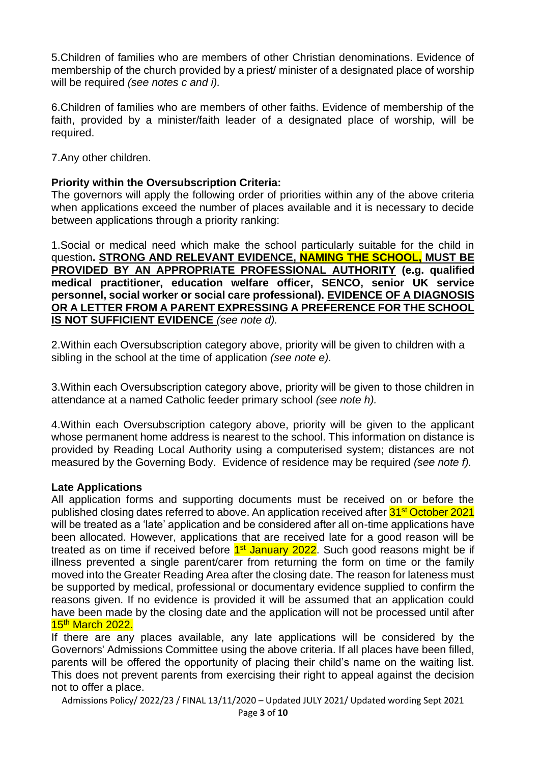5.Children of families who are members of other Christian denominations. Evidence of membership of the church provided by a priest/ minister of a designated place of worship will be required *(see notes c and i).*

6.Children of families who are members of other faiths. Evidence of membership of the faith, provided by a minister/faith leader of a designated place of worship, will be required.

7.Any other children.

### **Priority within the Oversubscription Criteria:**

The governors will apply the following order of priorities within any of the above criteria when applications exceed the number of places available and it is necessary to decide between applications through a priority ranking:

1.Social or medical need which make the school particularly suitable for the child in question**. STRONG AND RELEVANT EVIDENCE, NAMING THE SCHOOL, MUST BE PROVIDED BY AN APPROPRIATE PROFESSIONAL AUTHORITY (e.g. qualified medical practitioner, education welfare officer, SENCO, senior UK service personnel, social worker or social care professional). EVIDENCE OF A DIAGNOSIS OR A LETTER FROM A PARENT EXPRESSING A PREFERENCE FOR THE SCHOOL IS NOT SUFFICIENT EVIDENCE** *(see note d).*

2.Within each Oversubscription category above, priority will be given to children with a sibling in the school at the time of application *(see note e).*

3.Within each Oversubscription category above, priority will be given to those children in attendance at a named Catholic feeder primary school *(see note h).*

4.Within each Oversubscription category above, priority will be given to the applicant whose permanent home address is nearest to the school. This information on distance is provided by Reading Local Authority using a computerised system; distances are not measured by the Governing Body. Evidence of residence may be required *(see note f).*

#### **Late Applications**

All application forms and supporting documents must be received on or before the published closing dates referred to above. An application received after 31<sup>st</sup> October 2021 will be treated as a 'late' application and be considered after all on-time applications have been allocated. However, applications that are received late for a good reason will be treated as on time if received before **1st January 2022**. Such good reasons might be if illness prevented a single parent/carer from returning the form on time or the family moved into the Greater Reading Area after the closing date. The reason for lateness must be supported by medical, professional or documentary evidence supplied to confirm the reasons given. If no evidence is provided it will be assumed that an application could have been made by the closing date and the application will not be processed until after 15<sup>th</sup> March 2022.

If there are any places available, any late applications will be considered by the Governors' Admissions Committee using the above criteria. If all places have been filled, parents will be offered the opportunity of placing their child's name on the waiting list. This does not prevent parents from exercising their right to appeal against the decision not to offer a place.

Admissions Policy/ 2022/23 / FINAL 13/11/2020 – Updated JULY 2021/ Updated wording Sept 2021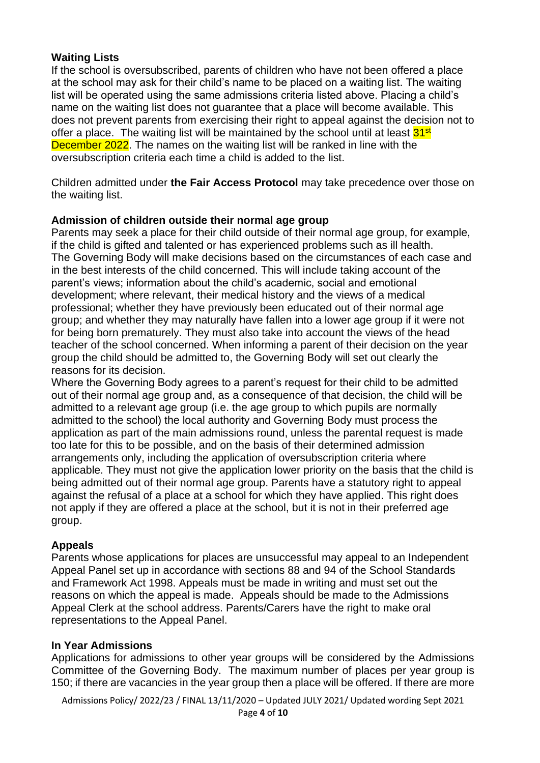# **Waiting Lists**

If the school is oversubscribed, parents of children who have not been offered a place at the school may ask for their child's name to be placed on a waiting list. The waiting list will be operated using the same admissions criteria listed above. Placing a child's name on the waiting list does not guarantee that a place will become available. This does not prevent parents from exercising their right to appeal against the decision not to offer a place. The waiting list will be maintained by the school until at least 31<sup>st</sup> December 2022. The names on the waiting list will be ranked in line with the oversubscription criteria each time a child is added to the list.

Children admitted under **the Fair Access Protocol** may take precedence over those on the waiting list.

# **Admission of children outside their normal age group**

Parents may seek a place for their child outside of their normal age group, for example, if the child is gifted and talented or has experienced problems such as ill health. The Governing Body will make decisions based on the circumstances of each case and in the best interests of the child concerned. This will include taking account of the parent's views; information about the child's academic, social and emotional development; where relevant, their medical history and the views of a medical professional; whether they have previously been educated out of their normal age group; and whether they may naturally have fallen into a lower age group if it were not for being born prematurely. They must also take into account the views of the head teacher of the school concerned. When informing a parent of their decision on the year group the child should be admitted to, the Governing Body will set out clearly the reasons for its decision.

Where the Governing Body agrees to a parent's request for their child to be admitted out of their normal age group and, as a consequence of that decision, the child will be admitted to a relevant age group (i.e. the age group to which pupils are normally admitted to the school) the local authority and Governing Body must process the application as part of the main admissions round, unless the parental request is made too late for this to be possible, and on the basis of their determined admission arrangements only, including the application of oversubscription criteria where applicable. They must not give the application lower priority on the basis that the child is being admitted out of their normal age group. Parents have a statutory right to appeal against the refusal of a place at a school for which they have applied. This right does not apply if they are offered a place at the school, but it is not in their preferred age group.

# **Appeals**

Parents whose applications for places are unsuccessful may appeal to an Independent Appeal Panel set up in accordance with sections 88 and 94 of the School Standards and Framework Act 1998. Appeals must be made in writing and must set out the reasons on which the appeal is made. Appeals should be made to the Admissions Appeal Clerk at the school address. Parents/Carers have the right to make oral representations to the Appeal Panel.

# **In Year Admissions**

Applications for admissions to other year groups will be considered by the Admissions Committee of the Governing Body. The maximum number of places per year group is 150; if there are vacancies in the year group then a place will be offered. If there are more

Admissions Policy/ 2022/23 / FINAL 13/11/2020 – Updated JULY 2021/ Updated wording Sept 2021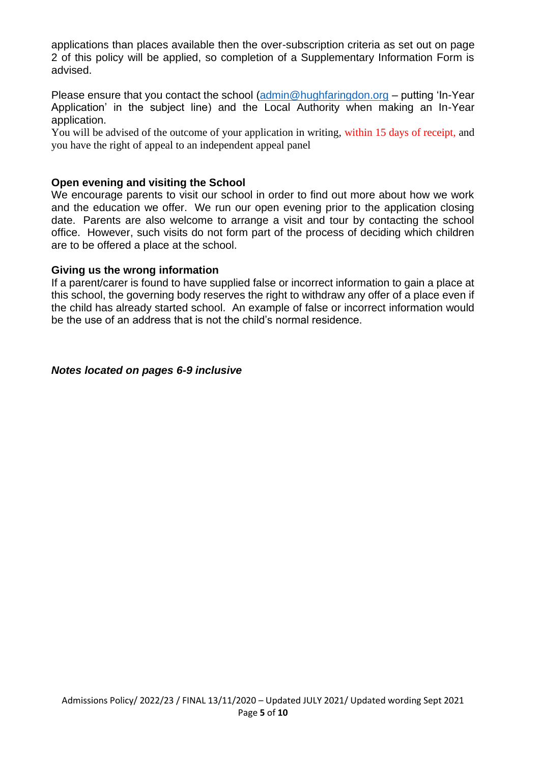applications than places available then the over-subscription criteria as set out on page 2 of this policy will be applied, so completion of a Supplementary Information Form is advised.

Please ensure that you contact the school [\(admin@hughfaringdon.org](mailto:admin@hughfaringdon.org) – putting 'In-Year Application' in the subject line) and the Local Authority when making an In-Year application.

You will be advised of the outcome of your application in writing, within 15 days of receipt, and you have the right of appeal to an independent appeal panel

### **Open evening and visiting the School**

We encourage parents to visit our school in order to find out more about how we work and the education we offer. We run our open evening prior to the application closing date. Parents are also welcome to arrange a visit and tour by contacting the school office. However, such visits do not form part of the process of deciding which children are to be offered a place at the school.

#### **Giving us the wrong information**

If a parent/carer is found to have supplied false or incorrect information to gain a place at this school, the governing body reserves the right to withdraw any offer of a place even if the child has already started school. An example of false or incorrect information would be the use of an address that is not the child's normal residence.

#### *Notes located on pages 6-9 inclusive*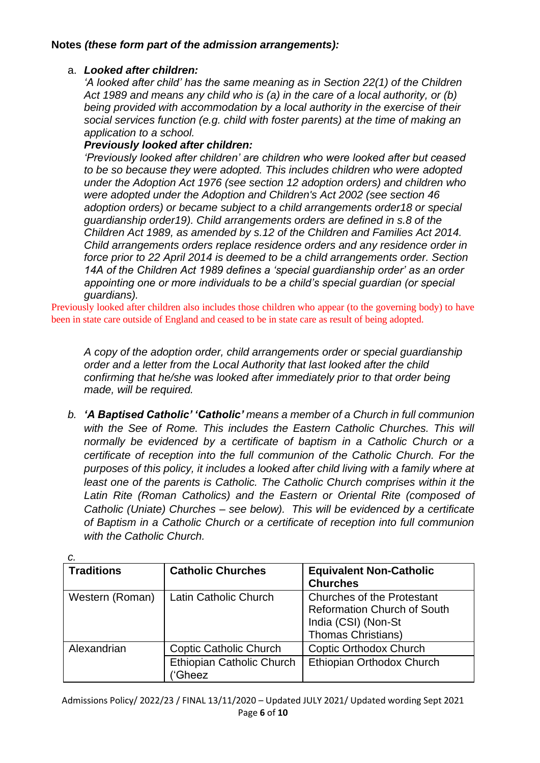### **Notes** *(these form part of the admission arrangements):*

### a. *Looked after children:*

*'A looked after child' has the same meaning as in Section 22(1) of the Children Act 1989 and means any child who is (a) in the care of a local authority, or (b) being provided with accommodation by a local authority in the exercise of their social services function (e.g. child with foster parents) at the time of making an application to a school.*

### *Previously looked after children:*

*'Previously looked after children' are children who were looked after but ceased to be so because they were adopted. This includes children who were adopted under the Adoption Act 1976 (see section 12 adoption orders) and children who were adopted under the Adoption and Children's Act 2002 (see section 46 adoption orders) or became subject to a child arrangements order18 or special guardianship order19). Child arrangements orders are defined in s.8 of the Children Act 1989, as amended by s.12 of the Children and Families Act 2014. Child arrangements orders replace residence orders and any residence order in force prior to 22 April 2014 is deemed to be a child arrangements order. Section 14A of the Children Act 1989 defines a 'special guardianship order' as an order appointing one or more individuals to be a child's special guardian (or special guardians).*

Previously looked after children also includes those children who appear (to the governing body) to have been in state care outside of England and ceased to be in state care as result of being adopted.

*A copy of the adoption order, child arrangements order or special guardianship order and a letter from the Local Authority that last looked after the child confirming that he/she was looked after immediately prior to that order being made, will be required.*

*b. 'A Baptised Catholic' 'Catholic' means a member of a Church in full communion with the See of Rome. This includes the Eastern Catholic Churches. This will normally be evidenced by a certificate of baptism in a Catholic Church or a certificate of reception into the full communion of the Catholic Church. For the purposes of this policy, it includes a looked after child living with a family where at least one of the parents is Catholic. The Catholic Church comprises within it the* Latin Rite (Roman Catholics) and the Eastern or Oriental Rite (composed of *Catholic (Uniate) Churches – see below). This will be evidenced by a certificate of Baptism in a Catholic Church or a certificate of reception into full communion with the Catholic Church.*

| <b>Traditions</b> | <b>Catholic Churches</b>            | <b>Equivalent Non-Catholic</b><br><b>Churches</b>                                                                           |
|-------------------|-------------------------------------|-----------------------------------------------------------------------------------------------------------------------------|
| Western (Roman)   | Latin Catholic Church               | <b>Churches of the Protestant</b><br><b>Reformation Church of South</b><br>India (CSI) (Non-St<br><b>Thomas Christians)</b> |
| Alexandrian       | <b>Coptic Catholic Church</b>       | <b>Coptic Orthodox Church</b>                                                                                               |
|                   | Ethiopian Catholic Church<br>'Gheez | Ethiopian Orthodox Church                                                                                                   |

*c.*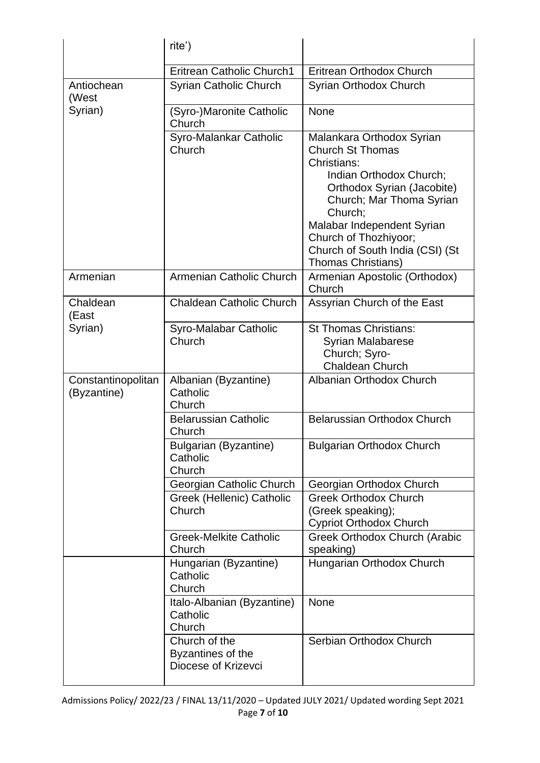|                                   | rite')                                                    |                                                                                                                                                                                                                                                                                     |
|-----------------------------------|-----------------------------------------------------------|-------------------------------------------------------------------------------------------------------------------------------------------------------------------------------------------------------------------------------------------------------------------------------------|
|                                   | <b>Eritrean Catholic Church1</b>                          | Eritrean Orthodox Church                                                                                                                                                                                                                                                            |
| Antiochean<br>(West               | <b>Syrian Catholic Church</b>                             | Syrian Orthodox Church                                                                                                                                                                                                                                                              |
| Syrian)                           | (Syro-)Maronite Catholic<br>Church                        | None                                                                                                                                                                                                                                                                                |
|                                   | Syro-Malankar Catholic<br>Church                          | Malankara Orthodox Syrian<br><b>Church St Thomas</b><br>Christians:<br>Indian Orthodox Church;<br>Orthodox Syrian (Jacobite)<br>Church; Mar Thoma Syrian<br>Church;<br>Malabar Independent Syrian<br>Church of Thozhiyoor;<br>Church of South India (CSI) (St<br>Thomas Christians) |
| Armenian                          | Armenian Catholic Church                                  | Armenian Apostolic (Orthodox)<br>Church                                                                                                                                                                                                                                             |
| Chaldean<br>(East                 | <b>Chaldean Catholic Church</b>                           | Assyrian Church of the East                                                                                                                                                                                                                                                         |
| Syrian)                           | Syro-Malabar Catholic<br>Church                           | <b>St Thomas Christians:</b><br><b>Syrian Malabarese</b><br>Church; Syro-<br><b>Chaldean Church</b>                                                                                                                                                                                 |
| Constantinopolitan<br>(Byzantine) | Albanian (Byzantine)<br>Catholic<br>Church                | Albanian Orthodox Church                                                                                                                                                                                                                                                            |
|                                   | <b>Belarussian Catholic</b><br>Church                     | Belarussian Orthodox Church                                                                                                                                                                                                                                                         |
|                                   | <b>Bulgarian (Byzantine)</b><br>Catholic<br>Church        | <b>Bulgarian Orthodox Church</b>                                                                                                                                                                                                                                                    |
|                                   | Georgian Catholic Church                                  | Georgian Orthodox Church                                                                                                                                                                                                                                                            |
|                                   | Greek (Hellenic) Catholic<br>Church                       | <b>Greek Orthodox Church</b><br>(Greek speaking);<br><b>Cypriot Orthodox Church</b>                                                                                                                                                                                                 |
|                                   | <b>Greek-Melkite Catholic</b><br>Church                   | Greek Orthodox Church (Arabic<br>speaking)                                                                                                                                                                                                                                          |
|                                   | Hungarian (Byzantine)<br>Catholic<br>Church               | Hungarian Orthodox Church                                                                                                                                                                                                                                                           |
|                                   | Italo-Albanian (Byzantine)<br>Catholic<br>Church          | None                                                                                                                                                                                                                                                                                |
|                                   | Church of the<br>Byzantines of the<br>Diocese of Krizevci | Serbian Orthodox Church                                                                                                                                                                                                                                                             |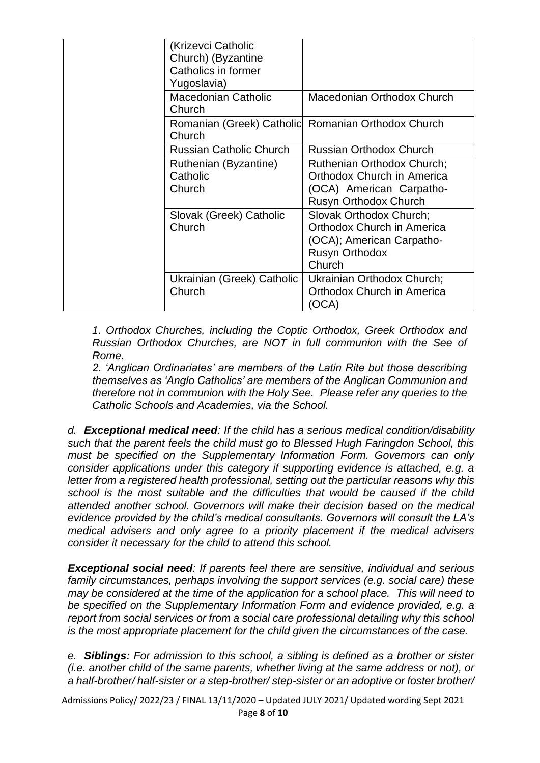| (Krizevci Catholic<br>Church) (Byzantine<br>Catholics in former<br>Yugoslavia) |                                                                                                                       |
|--------------------------------------------------------------------------------|-----------------------------------------------------------------------------------------------------------------------|
| <b>Macedonian Catholic</b><br>Church                                           | Macedonian Orthodox Church                                                                                            |
| Church                                                                         | Romanian (Greek) Catholic Romanian Orthodox Church                                                                    |
| <b>Russian Catholic Church</b>                                                 | <b>Russian Orthodox Church</b>                                                                                        |
| Ruthenian (Byzantine)<br>Catholic<br>Church                                    | <b>Ruthenian Orthodox Church:</b><br>Orthodox Church in America<br>(OCA) American Carpatho-<br>Rusyn Orthodox Church  |
| Slovak (Greek) Catholic<br>Church                                              | Slovak Orthodox Church;<br>Orthodox Church in America<br>(OCA); American Carpatho-<br><b>Rusyn Orthodox</b><br>Church |
| Ukrainian (Greek) Catholic<br>Church                                           | Ukrainian Orthodox Church;<br>Orthodox Church in America<br>(OCA)                                                     |

*1. Orthodox Churches, including the Coptic Orthodox, Greek Orthodox and Russian Orthodox Churches, are NOT in full communion with the See of Rome.* 

*2. 'Anglican Ordinariates' are members of the Latin Rite but those describing themselves as 'Anglo Catholics' are members of the Anglican Communion and therefore not in communion with the Holy See. Please refer any queries to the Catholic Schools and Academies, via the School.*

*d. Exceptional medical need: If the child has a serious medical condition/disability such that the parent feels the child must go to Blessed Hugh Faringdon School, this must be specified on the Supplementary Information Form. Governors can only consider applications under this category if supporting evidence is attached, e.g. a letter from a registered health professional, setting out the particular reasons why this school is the most suitable and the difficulties that would be caused if the child attended another school. Governors will make their decision based on the medical evidence provided by the child's medical consultants. Governors will consult the LA's medical advisers and only agree to a priority placement if the medical advisers consider it necessary for the child to attend this school.*

*Exceptional social need: If parents feel there are sensitive, individual and serious family circumstances, perhaps involving the support services (e.g. social care) these may be considered at the time of the application for a school place. This will need to be specified on the Supplementary Information Form and evidence provided, e.g. a report from social services or from a social care professional detailing why this school is the most appropriate placement for the child given the circumstances of the case.*

*e. Siblings: For admission to this school, a sibling is defined as a brother or sister (i.e. another child of the same parents, whether living at the same address or not), or a half-brother/ half-sister or a step-brother/ step-sister or an adoptive or foster brother/* 

Admissions Policy/ 2022/23 / FINAL 13/11/2020 – Updated JULY 2021/ Updated wording Sept 2021 Page **8** of **10**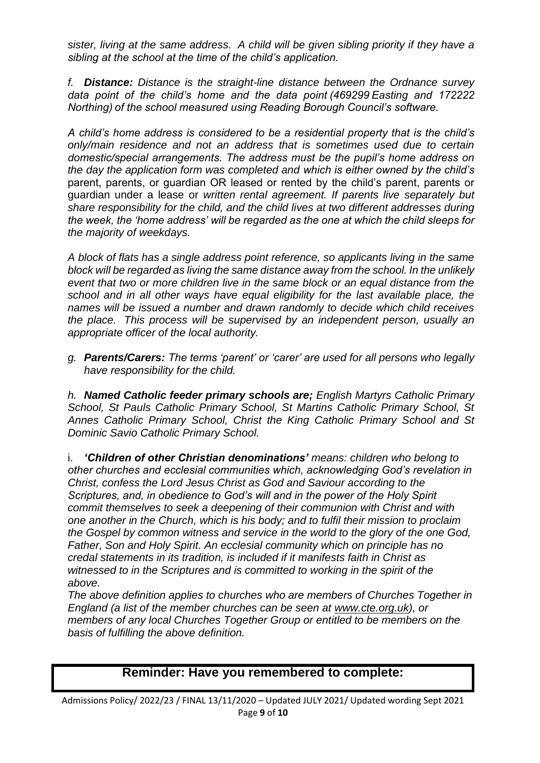*sister, living at the same address. A child will be given sibling priority if they have a sibling at the school at the time of the child's application.*

*f. Distance: Distance is the straight-line distance between the Ordnance survey data point of the child's home and the data point (469299 Easting and 172222 Northing) of the school measured using Reading Borough Council's software.*

*A child's home address is considered to be a residential property that is the child's only/main residence and not an address that is sometimes used due to certain domestic/special arrangements. The address must be the pupil's home address on the day the application form was completed and which is either owned by the child's*  parent, parents, or guardian OR leased or rented by the child's parent, parents or guardian under a lease or *written rental agreement. If parents live separately but share responsibility for the child, and the child lives at two different addresses during the week, the 'home address' will be regarded as the one at which the child sleeps for the majority of weekdays.* 

*A block of flats has a single address point reference, so applicants living in the same block will be regarded as living the same distance away from the school. In the unlikely event that two or more children live in the same block or an equal distance from the school and in all other ways have equal eligibility for the last available place, the names will be issued a number and drawn randomly to decide which child receives the place. This process will be supervised by an independent person, usually an appropriate officer of the local authority.*

*g. Parents/Carers: The terms 'parent' or 'carer' are used for all persons who legally have responsibility for the child.*

*h. Named Catholic feeder primary schools are; English Martyrs Catholic Primary School, St Pauls Catholic Primary School, St Martins Catholic Primary School, St Annes Catholic Primary School, Christ the King Catholic Primary School and St Dominic Savio Catholic Primary School.*

i. *'Children of other Christian denominations' means: children who belong to other churches and ecclesial communities which, acknowledging God's revelation in Christ, confess the Lord Jesus Christ as God and Saviour according to the Scriptures, and, in obedience to God's will and in the power of the Holy Spirit commit themselves to seek a deepening of their communion with Christ and with one another in the Church, which is his body; and to fulfil their mission to proclaim the Gospel by common witness and service in the world to the glory of the one God, Father, Son and Holy Spirit. An ecclesial community which on principle has no credal statements in its tradition, is included if it manifests faith in Christ as witnessed to in the Scriptures and is committed to working in the spirit of the above.*

*The above definition applies to churches who are members of Churches Together in England (a list of the member churches can be seen at [www.cte.org.uk\)](http://www.cte.org.uk/), or members of any local Churches Together Group or entitled to be members on the basis of fulfilling the above definition.*

# **Reminder: Have you remembered to complete:**

Admissions Policy/ 2022/23 / FINAL 13/11/2020 – Updated JULY 2021/ Updated wording Sept 2021 Page **9** of **10**